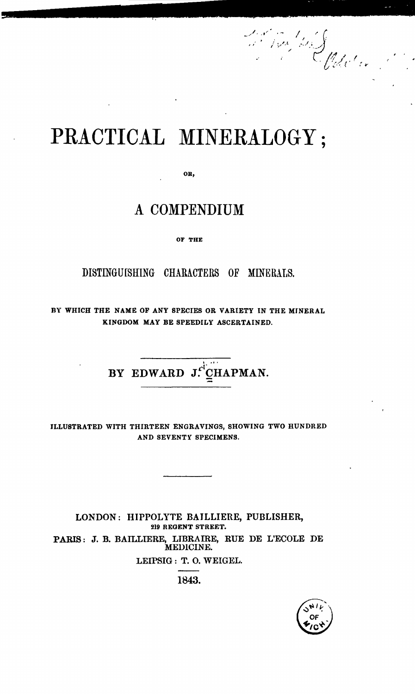## PRACTICAL MINERALOGY;

OR,

## A COMPENDIUM

OF THE

DISTINGUISHING CHARACTERS OF MINERALS.

BY WHICH THE NAME OF ANY SPECIES OR VARIETY IN THE MINERAL KINGDOM MAY BE SPEEDILY ASCERTAINED.

BY EDWARD  $J:$ <sup>i</sup> $CHAPMAN$ .

ILLUSTRATED WITH THIRTEEN ENGRAVINGS, SHOWING TWO HUNDRED AND SEVENTY SPECIMENS.

LONDON: HIPPOLYTE BAILLIERE, PUBLISHER, 219 REGENT STREET. PARIS: J. B. BAILLIERE, LIDRAffiE, RUE DE L'ECOLE DE MEDICINE. LEIPSIG: T. O. WEIGEL.

1843.



Maria William